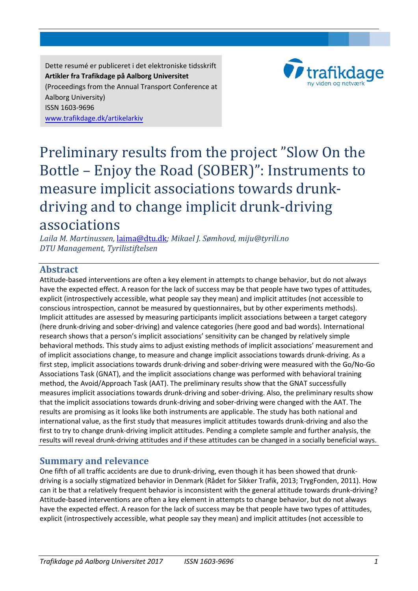Dette resumé er publiceret i det elektroniske tidsskrift **Artikler fra Trafikdage på Aalborg Universitet**  (Proceedings from the Annual Transport Conference at Aalborg University) ISSN 1603-9696 [www.trafikdage.dk/artikelarkiv](http://www.trafikdage.dk/v3/index.php?option=com_content&view=article&id=124&Itemid=175)



# Preliminary results from the project "Slow On the Bottle – Enjoy the Road (SOBER)": Instruments to measure implicit associations towards drunkdriving and to change implicit drunk-driving<br>associations

associations *Laila M. Martinussen,* [laima@dtu.dk](mailto:laima@dtu.dk)*; Mikael J. Sømhovd, [miju@tyrili.no](mailto:mikael.julius@tyrili.no) DTU Management, Tyrilistiftelsen* 

# **Abstract**

Attitude-based interventions are often a key element in attempts to change behavior, but do not always have the expected effect. A reason for the lack of success may be that people have two types of attitudes, explicit (introspectively accessible, what people say they mean) and implicit attitudes (not accessible to conscious introspection, cannot be measured by questionnaires, but by other experiments methods). Implicit attitudes are assessed by measuring participants implicit associations between a target category (here drunk-driving and sober-driving) and valence categories (here good and bad words). International research shows that a person's implicit associations' sensitivity can be changed by relatively simple behavioral methods. This study aims to adjust existing methods of implicit associations' measurement and of implicit associations change, to measure and change implicit associations towards drunk-driving. As a first step, implicit associations towards drunk-driving and sober-driving were measured with the Go/No-Go Associations Task (GNAT), and the implicit associations change was performed with behavioral training method, the Avoid/Approach Task (AAT). The preliminary results show that the GNAT successfully measures implicit associations towards drunk-driving and sober-driving. Also, the preliminary results show that the implicit associations towards drunk-driving and sober-driving were changed with the AAT. The results are promising as it looks like both instruments are applicable. The study has both national and international value, as the first study that measures implicit attitudes towards drunk-driving and also the first to try to change drunk-driving implicit attitudes. Pending a complete sample and further analysis, the results will reveal drunk-driving attitudes and if these attitudes can be changed in a socially beneficial ways.

# **Summary and relevance**

One fifth of all traffic accidents are due to drunk-driving, even though it has been showed that drunkdriving is a socially stigmatized behavior in Denmark (Rådet for Sikker Trafik, 2013; TrygFonden, 2011). How can it be that a relatively frequent behavior is inconsistent with the general attitude towards drunk-driving? Attitude-based interventions are often a key element in attempts to change behavior, but do not always have the expected effect. A reason for the lack of success may be that people have two types of attitudes, explicit (introspectively accessible, what people say they mean) and implicit attitudes (not accessible to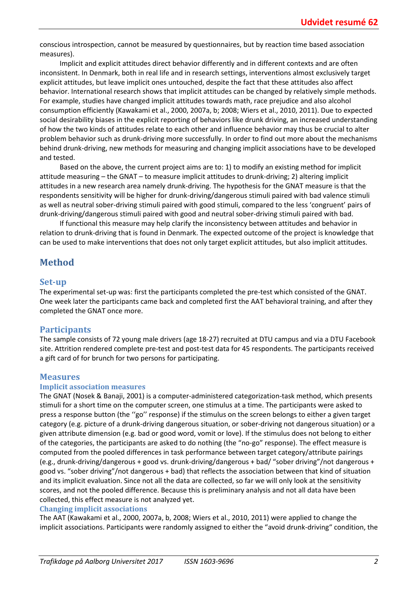conscious introspection, cannot be measured by questionnaires, but by reaction time based association measures).

Implicit and explicit attitudes direct behavior differently and in different contexts and are often inconsistent. In Denmark, both in real life and in research settings, interventions almost exclusively target explicit attitudes, but leave implicit ones untouched, despite the fact that these attitudes also affect behavior. International research shows that implicit attitudes can be changed by relatively simple methods. For example, studies have changed implicit attitudes towards math, race prejudice and also alcohol consumption efficiently (Kawakami et al., 2000, 2007a, b; 2008; Wiers et al., 2010, 2011). Due to expected social desirability biases in the explicit reporting of behaviors like drunk driving, an increased understanding of how the two kinds of attitudes relate to each other and influence behavior may thus be crucial to alter problem behavior such as drunk-driving more successfully. In order to find out more about the mechanisms behind drunk-driving, new methods for measuring and changing implicit associations have to be developed and tested.

Based on the above, the current project aims are to: 1) to modify an existing method for implicit attitude measuring – the GNAT – to measure implicit attitudes to drunk-driving; 2) altering implicit attitudes in a new research area namely drunk-driving. The hypothesis for the GNAT measure is that the respondents sensitivity will be higher for drunk-driving/dangerous stimuli paired with bad valence stimuli as well as neutral sober-driving stimuli paired with good stimuli, compared to the less 'congruent' pairs of drunk-driving/dangerous stimuli paired with good and neutral sober-driving stimuli paired with bad.

If functional this measure may help clarify the inconsistency between attitudes and behavior in relation to drunk-driving that is found in Denmark. The expected outcome of the project is knowledge that can be used to make interventions that does not only target explicit attitudes, but also implicit attitudes.

# **Method**

# **Set-up**

The experimental set-up was: first the participants completed the pre-test which consisted of the GNAT. One week later the participants came back and completed first the AAT behavioral training, and after they completed the GNAT once more.

# **Participants**

The sample consists of 72 young male drivers (age 18-27) recruited at DTU campus and via a DTU Facebook site. Attrition rendered complete pre-test and post-test data for 45 respondents. The participants received a gift card of for brunch for two persons for participating.

# **Measures**

#### **Implicit association measures**

The GNAT (Nosek & Banaji, 2001) is a computer-administered categorization-task method, which presents stimuli for a short time on the computer screen, one stimulus at a time. The participants were asked to press a response button (the ''go'' response) if the stimulus on the screen belongs to either a given target category (e.g. picture of a drunk-driving dangerous situation, or sober-driving not dangerous situation) or a given attribute dimension (e.g. bad or good word, vomit or love). If the stimulus does not belong to either of the categories, the participants are asked to do nothing (the "no-go" response). The effect measure is computed from the pooled differences in task performance between target category/attribute pairings (e.g., drunk-driving/dangerous + good vs. drunk-driving/dangerous + bad/ "sober driving"/not dangerous + good vs. "sober driving"/not dangerous + bad) that reflects the association between that kind of situation and its implicit evaluation. Since not all the data are collected, so far we will only look at the sensitivity scores, and not the pooled difference. Because this is preliminary analysis and not all data have been collected, this effect measure is not analyzed yet.

#### **Changing implicit associations**

The AAT (Kawakami et al., 2000, 2007a, b, 2008; Wiers et al., 2010, 2011) were applied to change the implicit associations. Participants were randomly assigned to either the "avoid drunk-driving" condition, the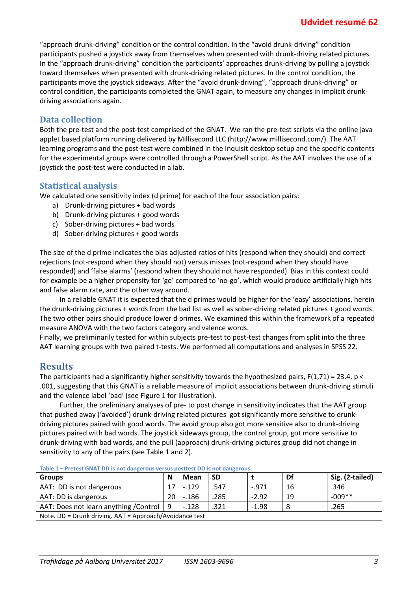"approach drunk-driving" condition or the control condition. In the "avoid drunk-driving" condition participants pushed a joystick away from themselves when presented with drunk-driving related pictures. In the "approach drunk-driving" condition the participants' approaches drunk-driving by pulling a joystick toward themselves when presented with drunk-driving related pictures. In the control condition, the participants move the joystick sideways. After the "avoid drunk-driving", "approach drunk-driving" or control condition, the participants completed the GNAT again, to measure any changes in implicit drunkdriving associations again.

# **Data collection**

Both the pre-test and the post-test comprised of the GNAT. We ran the pre-test scripts via the online java applet based platform running delivered by Millisecond LLC [\(http://www.millisecond.com/\)](http://www.millisecond.com/). The AAT learning programs and the post-test were combined in the Inquisit desktop setup and the specific contents for the experimental groups were controlled through a PowerShell script. As the AAT involves the use of a joystick the post-test were conducted in a lab.

#### **Statistical analysis**

We calculated one sensitivity index (d prime) for each of the four association pairs:

- a) Drunk-driving pictures + bad words
- b) Drunk-driving pictures + good words
- c) Sober-driving pictures + bad words
- d) Sober-driving pictures + good words

The size of the d prime indicates the bias adjusted ratios of hits (respond when they should) and correct rejections (not-respond when they should not) versus misses (not-respond when they should have responded) and 'false alarms' (respond when they should not have responded). Bias in this context could for example be a higher propensity for 'go' compared to 'no-go', which would produce artificially high hits and false alarm rate, and the other way around.

In a reliable GNAT it is expected that the d primes would be higher for the 'easy' associations, herein the drunk-driving pictures + words from the bad list as well as sober-driving related pictures + good words. The two other pairs should produce lower d primes. We examined this within the framework of a repeated measure ANOVA with the two factors category and valence words.

Finally, we preliminarily tested for within subjects pre-test to post-test changes from split into the three AAT learning groups with two paired t-tests. We performed all computations and analyses in SPSS 22.

# **Results**

The participants had a significantly higher sensitivity towards the hypothesized pairs,  $F(1,71) = 23.4$ , p < .001, suggesting that this GNAT is a reliable measure of implicit associations between drunk-driving stimuli and the valence label 'bad' (see Figure 1 for illustration).

Further, the preliminary analyses of pre- to post change in sensitivity indicates that the AAT group that pushed away ('avoided') drunk-driving related pictures got significantly more sensitive to drunkdriving pictures paired with good words. The avoid group also got more sensitive also to drunk-driving pictures paired with bad words. The joystick sideways group, the control group, got more sensitive to drunk-driving with bad words, and the pull (approach) drunk-driving pictures group did not change in sensitivity to any of the pairs (see Table 1 and 2).

| <b>Groups</b>                                           | N  | Mean     | <b>SD</b> |         | Df | Sig. (2-tailed) |  |  |
|---------------------------------------------------------|----|----------|-----------|---------|----|-----------------|--|--|
| AAT: DD is not dangerous                                | 17 | $-0.129$ | .547      | $-.971$ | 16 | .346            |  |  |
| AAT: DD is dangerous                                    | 20 | $-186$   | .285      | $-2.92$ | 19 | $-009**$        |  |  |
| AAT: Does not learn anything / Control   9              |    | $-.128$  | .321      | $-1.98$ | 8  | .265            |  |  |
| Note. DD = Drunk driving. AAT = Approach/Avoidance test |    |          |           |         |    |                 |  |  |

**Table 1 – Pretest GNAT DD is not dangerous versus posttest DD is not dangerous**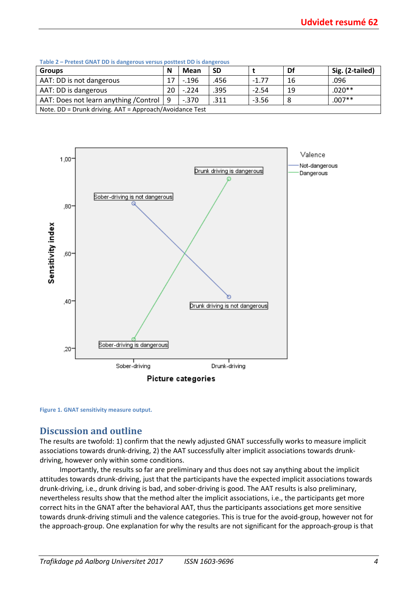| <b>Table 2 – FICLEST QIVAT DD IS GAILER DUS VEISUS DUSTIEST DD IS GAILER DUS</b> |    |          |      |         |    |                 |  |  |  |
|----------------------------------------------------------------------------------|----|----------|------|---------|----|-----------------|--|--|--|
| <b>Groups</b>                                                                    | N  | Mean     | SD   |         | Df | Sig. (2-tailed) |  |  |  |
| AAT: DD is not dangerous                                                         |    | $-0.196$ | .456 | $-1.77$ | 16 | .096            |  |  |  |
| AAT: DD is dangerous                                                             | 20 | $-.224$  | .395 | $-2.54$ | 19 | $.020**$        |  |  |  |
| AAT: Does not learn anything / Control   9                                       |    | $-.370$  | 311. | $-3.56$ |    | $.007**$        |  |  |  |
| Note. DD = Drunk driving. AAT = Approach/Avoidance Test                          |    |          |      |         |    |                 |  |  |  |

**Table 2 – Pretest GNAT DD is dangerous versus posttest DD is dangerous**



**Figure 1. GNAT sensitivity measure output.** 

# **Discussion and outline**

The results are twofold: 1) confirm that the newly adjusted GNAT successfully works to measure implicit associations towards drunk-driving, 2) the AAT successfully alter implicit associations towards drunkdriving, however only within some conditions.

Importantly, the results so far are preliminary and thus does not say anything about the implicit attitudes towards drunk-driving, just that the participants have the expected implicit associations towards drunk-driving, i.e., drunk driving is bad, and sober-driving is good. The AAT results is also preliminary, nevertheless results show that the method alter the implicit associations, i.e., the participants get more correct hits in the GNAT after the behavioral AAT, thus the participants associations get more sensitive towards drunk-driving stimuli and the valence categories. This is true for the avoid-group, however not for the approach-group. One explanation for why the results are not significant for the approach-group is that